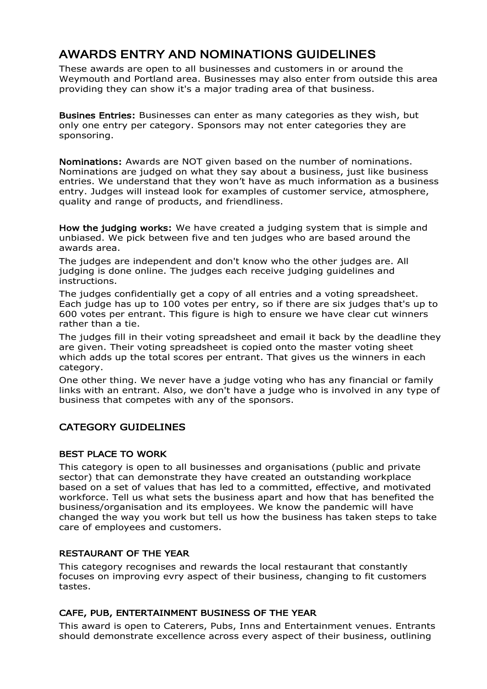# AWARDS ENTRY AND NOMINATIONS GUIDELINES

These awards are open to all businesses and customers in or around the Weymouth and Portland area. Businesses may also enter from outside this area providing they can show it's a major trading area of that business.

Busines Entries: Businesses can enter as many categories as they wish, but only one entry per category. Sponsors may not enter categories they are sponsoring.

Nominations: Awards are NOT given based on the number of nominations. Nominations are judged on what they say about a business, just like business entries. We understand that they won't have as much information as a business entry. Judges will instead look for examples of customer service, atmosphere, quality and range of products, and friendliness.

How the judging works: We have created a judging system that is simple and unbiased. We pick between five and ten judges who are based around the awards area.

The judges are independent and don't know who the other judges are. All judging is done online. The judges each receive judging guidelines and instructions.

The judges confidentially get a copy of all entries and a voting spreadsheet. Each judge has up to 100 votes per entry, so if there are six judges that's up to 600 votes per entrant. This figure is high to ensure we have clear cut winners rather than a tie.

The judges fill in their voting spreadsheet and email it back by the deadline they are given. Their voting spreadsheet is copied onto the master voting sheet which adds up the total scores per entrant. That gives us the winners in each category.

One other thing. We never have a judge voting who has any financial or family links with an entrant. Also, we don't have a judge who is involved in any type of business that competes with any of the sponsors.

# CATEGORY GUIDELINES

#### BEST PLACE TO WORK

This category is open to all businesses and organisations (public and private sector) that can demonstrate they have created an outstanding workplace based on a set of values that has led to a committed, effective, and motivated workforce. Tell us what sets the business apart and how that has benefited the business/organisation and its employees. We know the pandemic will have changed the way you work but tell us how the business has taken steps to take care of employees and customers.

#### RESTAURANT OF THE YEAR

This category recognises and rewards the local restaurant that constantly focuses on improving evry aspect of their business, changing to fit customers tastes.

#### CAFE, PUB, ENTERTAINMENT BUSINESS OF THE YEAR

This award is open to Caterers, Pubs, Inns and Entertainment venues. Entrants should demonstrate excellence across every aspect of their business, outlining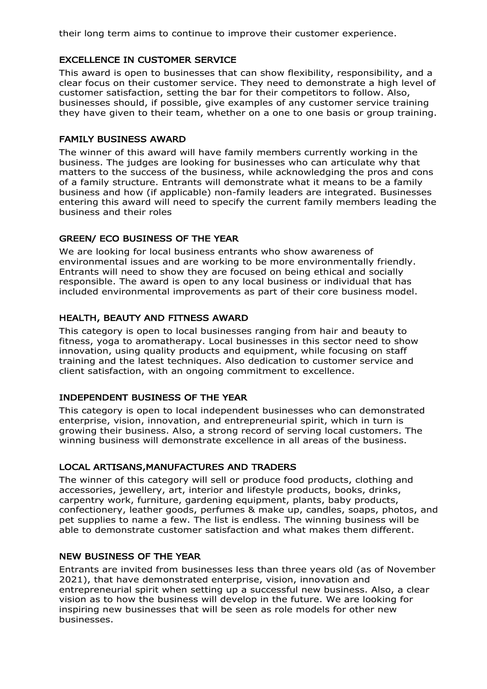their long term aims to continue to improve their customer experience.

#### EXCELLENCE IN CUSTOMER SERVICE

This award is open to businesses that can show flexibility, responsibility, and a clear focus on their customer service. They need to demonstrate a high level of customer satisfaction, setting the bar for their competitors to follow. Also, businesses should, if possible, give examples of any customer service training they have given to their team, whether on a one to one basis or group training.

#### FAMILY BUSINESS AWARD

The winner of this award will have family members currently working in the business. The judges are looking for businesses who can articulate why that matters to the success of the business, while acknowledging the pros and cons of a family structure. Entrants will demonstrate what it means to be a family business and how (if applicable) non-family leaders are integrated. Businesses entering this award will need to specify the current family members leading the business and their roles

#### GREEN/ ECO BUSINESS OF THE YEAR

We are looking for local business entrants who show awareness of environmental issues and are working to be more environmentally friendly. Entrants will need to show they are focused on being ethical and socially responsible. The award is open to any local business or individual that has included environmental improvements as part of their core business model.

#### HEALTH, BEAUTY AND FITNESS AWARD

This category is open to local businesses ranging from hair and beauty to fitness, yoga to aromatherapy. Local businesses in this sector need to show innovation, using quality products and equipment, while focusing on staff training and the latest techniques. Also dedication to customer service and client satisfaction, with an ongoing commitment to excellence.

#### INDEPENDENT BUSINESS OF THE YEAR

This category is open to local independent businesses who can demonstrated enterprise, vision, innovation, and entrepreneurial spirit, which in turn is growing their business. Also, a strong record of serving local customers. The winning business will demonstrate excellence in all areas of the business.

#### LOCAL ARTISANS,MANUFACTURES AND TRADERS

The winner of this category will sell or produce food products, clothing and accessories, jewellery, art, interior and lifestyle products, books, drinks, carpentry work, furniture, gardening equipment, plants, baby products, confectionery, leather goods, perfumes & make up, candles, soaps, photos, and pet supplies to name a few. The list is endless. The winning business will be able to demonstrate customer satisfaction and what makes them different.

#### NEW BUSINESS OF THE YEAR

Entrants are invited from businesses less than three years old (as of November 2021), that have demonstrated enterprise, vision, innovation and entrepreneurial spirit when setting up a successful new business. Also, a clear vision as to how the business will develop in the future. We are looking for inspiring new businesses that will be seen as role models for other new businesses.